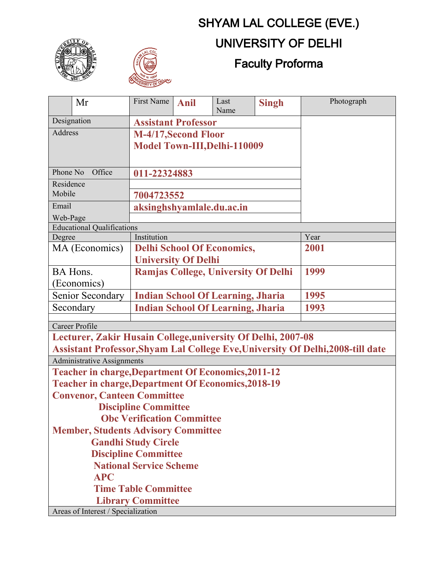## SHYAM LAL COLLEGE (EVE.)





## UNIVERSITY OF DELHI

## Faculty Proforma

|                                                                                 | Mr                                                  | First Name                               | <b>Anil</b> | Last<br>Name | <b>Singh</b> | Photograph |  |
|---------------------------------------------------------------------------------|-----------------------------------------------------|------------------------------------------|-------------|--------------|--------------|------------|--|
| Designation                                                                     |                                                     | <b>Assistant Professor</b>               |             |              |              |            |  |
| Address                                                                         |                                                     | M-4/17, Second Floor                     |             |              |              |            |  |
|                                                                                 |                                                     | Model Town-III, Delhi-110009             |             |              |              |            |  |
|                                                                                 |                                                     |                                          |             |              |              |            |  |
| Phone No<br>Office                                                              |                                                     | 011-22324883                             |             |              |              |            |  |
| Residence                                                                       |                                                     |                                          |             |              |              |            |  |
| Mobile                                                                          |                                                     | 7004723552                               |             |              |              |            |  |
| Email                                                                           |                                                     | aksinghshyamlale.du.ac.in                |             |              |              |            |  |
| Web-Page                                                                        |                                                     |                                          |             |              |              |            |  |
| <b>Educational Qualifications</b>                                               |                                                     |                                          |             |              |              |            |  |
| Degree                                                                          |                                                     | Institution                              |             |              |              | Year       |  |
|                                                                                 | MA (Economics)<br><b>Delhi School Of Economics,</b> |                                          |             |              |              | 2001       |  |
|                                                                                 |                                                     | <b>University Of Delhi</b>               |             |              |              |            |  |
|                                                                                 | Ramjas College, University Of Delhi<br>BA Hons.     |                                          |             |              | 1999         |            |  |
|                                                                                 | (Economics)                                         |                                          |             |              |              |            |  |
| <b>Indian School Of Learning, Jharia</b><br>Senior Secondary                    |                                                     |                                          |             |              | 1995         |            |  |
| Secondary                                                                       |                                                     | <b>Indian School Of Learning, Jharia</b> |             |              |              | 1993       |  |
| Career Profile                                                                  |                                                     |                                          |             |              |              |            |  |
| Lecturer, Zakir Husain College, university Of Delhi, 2007-08                    |                                                     |                                          |             |              |              |            |  |
| Assistant Professor, Shyam Lal College Eve, University Of Delhi, 2008-till date |                                                     |                                          |             |              |              |            |  |
| <b>Administrative Assignments</b>                                               |                                                     |                                          |             |              |              |            |  |
| <b>Teacher in charge, Department Of Economics, 2011-12</b>                      |                                                     |                                          |             |              |              |            |  |
| <b>Teacher in charge, Department Of Economics, 2018-19</b>                      |                                                     |                                          |             |              |              |            |  |
| <b>Convenor, Canteen Committee</b>                                              |                                                     |                                          |             |              |              |            |  |
| <b>Discipline Committee</b>                                                     |                                                     |                                          |             |              |              |            |  |
| <b>Obc Verification Committee</b>                                               |                                                     |                                          |             |              |              |            |  |
| <b>Member, Students Advisory Committee</b>                                      |                                                     |                                          |             |              |              |            |  |
| <b>Gandhi Study Circle</b>                                                      |                                                     |                                          |             |              |              |            |  |
| <b>Discipline Committee</b>                                                     |                                                     |                                          |             |              |              |            |  |
| <b>National Service Scheme</b>                                                  |                                                     |                                          |             |              |              |            |  |
| <b>APC</b>                                                                      |                                                     |                                          |             |              |              |            |  |
| <b>Time Table Committee</b>                                                     |                                                     |                                          |             |              |              |            |  |
|                                                                                 | <b>Library Committee</b>                            |                                          |             |              |              |            |  |
| Areas of Interest / Specialization                                              |                                                     |                                          |             |              |              |            |  |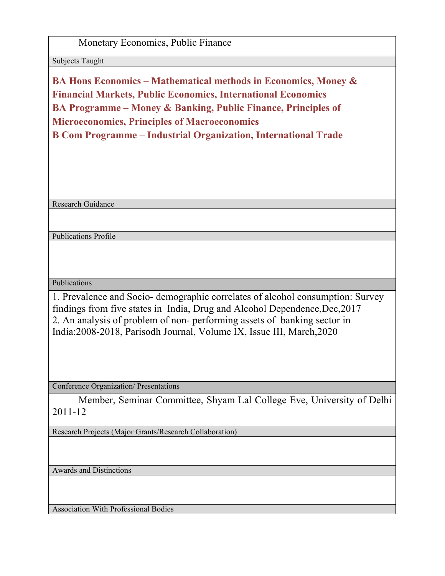## Monetary Economics, Public Finance

Subjects Taught

**BA Hons Economics – Mathematical methods in Economics, Money & Financial Markets, Public Economics, International Economics BA Programme – Money & Banking, Public Finance, Principles of Microeconomics, Principles of Macroeconomics B Com Programme – Industrial Organization, International Trade**

Research Guidance

Publications Profile

Publications

1. Prevalence and Socio- demographic correlates of alcohol consumption: Survey findings from five states in India, Drug and Alcohol Dependence,Dec,2017 2. An analysis of problem of non- performing assets of banking sector in India:2008-2018, Parisodh Journal, Volume IX, Issue III, March,2020

Conference Organization/ Presentations

Member, Seminar Committee, Shyam Lal College Eve, University of Delhi 2011-12

Research Projects (Major Grants/Research Collaboration)

Awards and Distinctions

Association With Professional Bodies